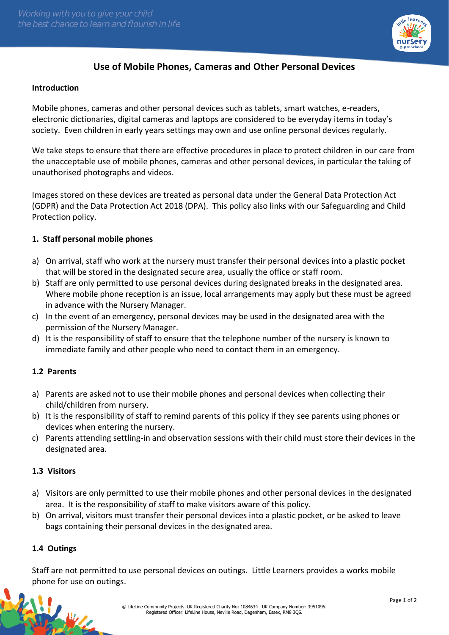

# **Use of Mobile Phones, Cameras and Other Personal Devices**

#### **Introduction**

Mobile phones, cameras and other personal devices such as tablets, smart watches, e-readers, electronic dictionaries, digital cameras and laptops are considered to be everyday items in today's society. Even children in early years settings may own and use online personal devices regularly.

We take steps to ensure that there are effective procedures in place to protect children in our care from the unacceptable use of mobile phones, cameras and other personal devices, in particular the taking of unauthorised photographs and videos.

Images stored on these devices are treated as personal data under the General Data Protection Act (GDPR) and the Data Protection Act 2018 (DPA). This policy also links with our Safeguarding and Child Protection policy.

#### **1. Staff personal mobile phones**

- a) On arrival, staff who work at the nursery must transfer their personal devices into a plastic pocket that will be stored in the designated secure area, usually the office or staff room.
- b) Staff are only permitted to use personal devices during designated breaks in the designated area. Where mobile phone reception is an issue, local arrangements may apply but these must be agreed in advance with the Nursery Manager.
- c) In the event of an emergency, personal devices may be used in the designated area with the permission of the Nursery Manager.
- d) It is the responsibility of staff to ensure that the telephone number of the nursery is known to immediate family and other people who need to contact them in an emergency.

#### **1.2 Parents**

- a) Parents are asked not to use their mobile phones and personal devices when collecting their child/children from nursery.
- b) It is the responsibility of staff to remind parents of this policy if they see parents using phones or devices when entering the nursery.
- c) Parents attending settling-in and observation sessions with their child must store their devices in the designated area.

#### **1.3 Visitors**

- a) Visitors are only permitted to use their mobile phones and other personal devices in the designated area. It is the responsibility of staff to make visitors aware of this policy.
- b) On arrival, visitors must transfer their personal devices into a plastic pocket, or be asked to leave bags containing their personal devices in the designated area.

#### **1.4 Outings**

松山

Staff are not permitted to use personal devices on outings. Little Learners provides a works mobile phone for use on outings.